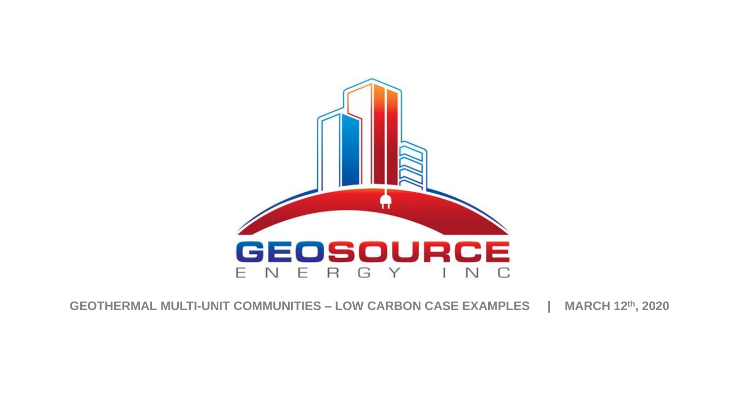

#### **GEOTHERMAL MULTI-UNIT COMMUNITIES – LOW CARBON CASE EXAMPLES | MARCH 12th, 2020**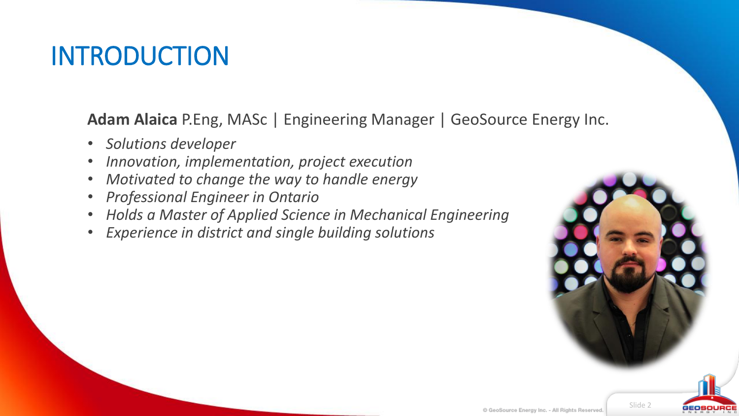#### INTRODUCTION

**Adam Alaica** P.Eng, MASc | Engineering Manager | GeoSource Energy Inc.

- *Solutions developer*
- *Innovation, implementation, project execution*
- *Motivated to change the way to handle energy*
- *Professional Engineer in Ontario*
- *Holds a Master of Applied Science in Mechanical Engineering*
- *Experience in district and single building solutions*



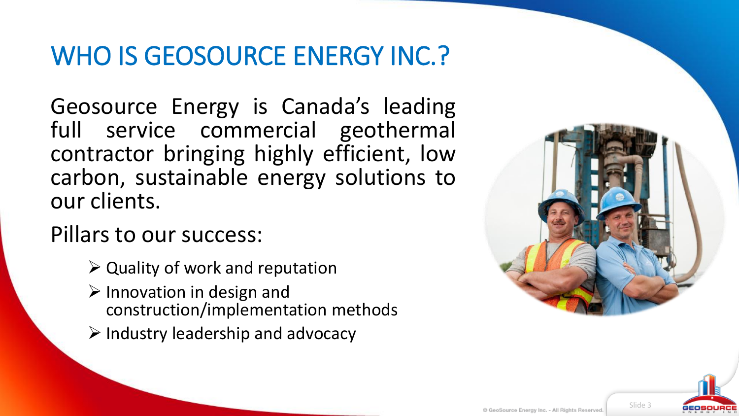#### WHO IS GEOSOURCE ENERGY INC.?

Geosource Energy is Canada's leading full service commercial geothermal contractor bringing highly efficient, low carbon, sustainable energy solutions to our clients.

Pillars to our success:

- $\triangleright$  Quality of work and reputation
- $\triangleright$  Innovation in design and construction/implementation methods
- $\triangleright$  Industry leadership and advocacy



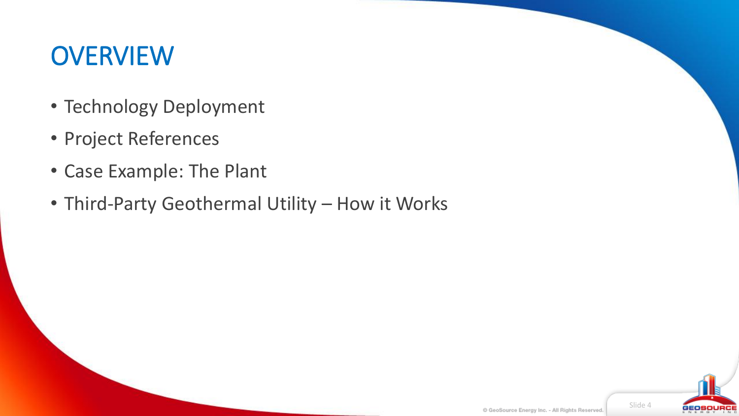#### **OVERVIEW**

- Technology Deployment
- Project References
- Case Example: The Plant
- Third-Party Geothermal Utility How it Works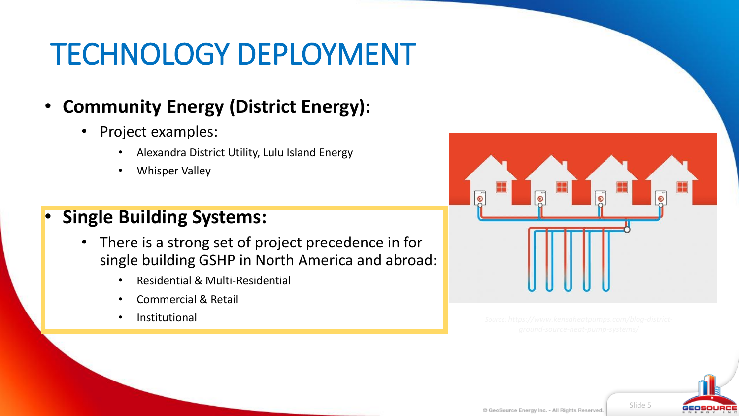## TECHNOLOGY DEPLOYMENT

#### • **Community Energy (District Energy):**

- Project examples:
	- Alexandra District Utility, Lulu Island Energy
	- Whisper Valley

#### • **Single Building Systems:**

- There is a strong set of project precedence in for single building GSHP in North America and abroad:
	- Residential & Multi-Residential
	- Commercial & Retail
	- **Institutional**



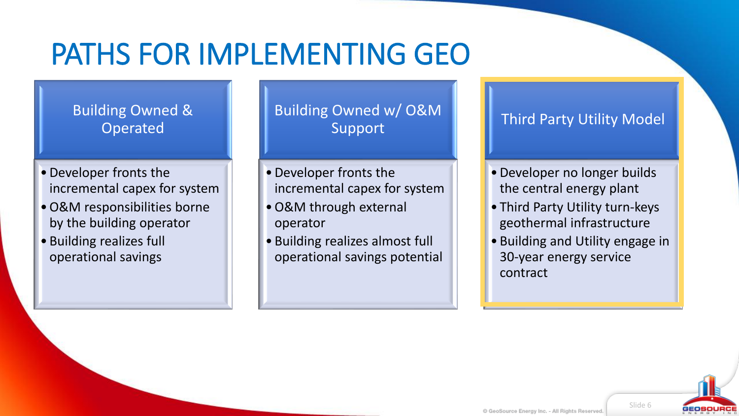## PATHS FOR IMPLEMENTING GEO

Building Owned & Operated

- •Developer fronts the incremental capex for system
- •O&M responsibilities borne by the building operator
- Building realizes full operational savings

Building Owned w/ O&M Support

- •Developer fronts the incremental capex for system
- •O&M through external operator
- Building realizes almost full operational savings potential

Third Party Utility Model

- •Developer no longer builds the central energy plant
- Third Party Utility turn-keys geothermal infrastructure
- Building and Utility engage in 30-year energy service contract

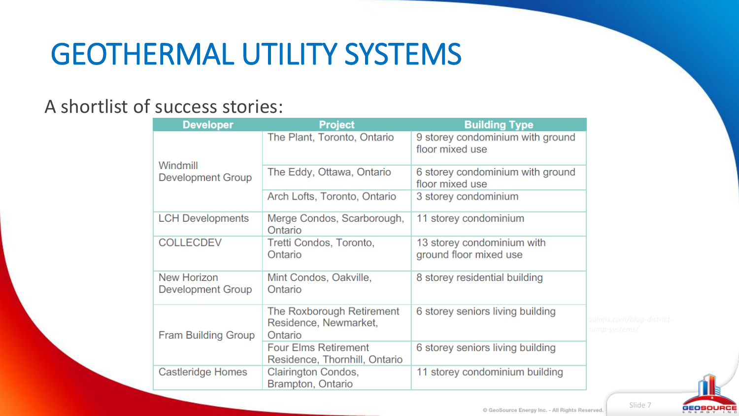## GEOTHERMAL UTILITY SYSTEMS

#### A shortlist of success stories:

| <b>Developer</b>                     | <b>Project</b>                                                | <b>Building Type</b>                                 |
|--------------------------------------|---------------------------------------------------------------|------------------------------------------------------|
| Windmill<br><b>Development Group</b> | The Plant, Toronto, Ontario                                   | 9 storey condominium with ground<br>floor mixed use  |
|                                      | The Eddy, Ottawa, Ontario                                     | 6 storey condominium with ground<br>floor mixed use  |
|                                      | Arch Lofts, Toronto, Ontario                                  | 3 storey condominium                                 |
| <b>LCH Developments</b>              | Merge Condos, Scarborough,<br>Ontario                         | 11 storey condominium                                |
| <b>COLLECDEV</b>                     | Tretti Condos, Toronto,<br>Ontario                            | 13 storey condominium with<br>ground floor mixed use |
| New Horizon<br>Development Group     | Mint Condos, Oakville,<br>Ontario                             | 8 storey residential building                        |
| <b>Fram Building Group</b>           | The Roxborough Retirement<br>Residence, Newmarket,<br>Ontario | 6 storey seniors living building<br>pu<br><b>DU</b>  |
|                                      | <b>Four Elms Retirement</b><br>Residence, Thornhill, Ontario  | 6 storey seniors living building                     |
| <b>Castleridge Homes</b>             | Clairington Condos,<br>Brampton, Ontario                      | 11 storey condominium building                       |

Slide 7



C GeoSource Energy Inc. - All Rights Reserved.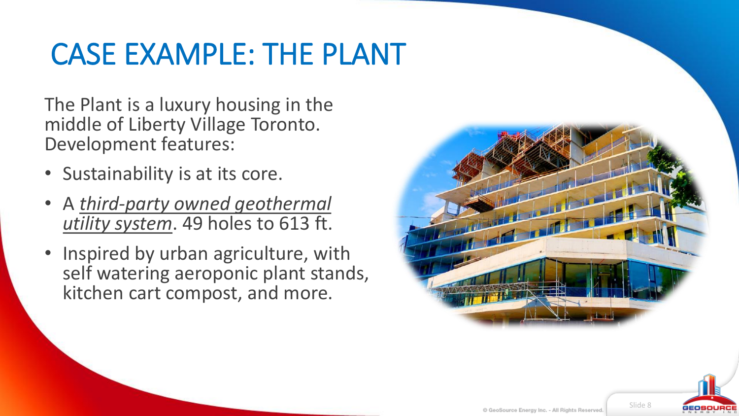#### CASE EXAMPLE: THE PLANT

The Plant is a luxury housing in the middle of Liberty Village Toronto. Development features:

- Sustainability is at its core.
- A *third-party owned geothermal utility system*. 49 holes to 613 ft.
- Inspired by urban agriculture, with self watering aeroponic plant stands, kitchen cart compost, and more.



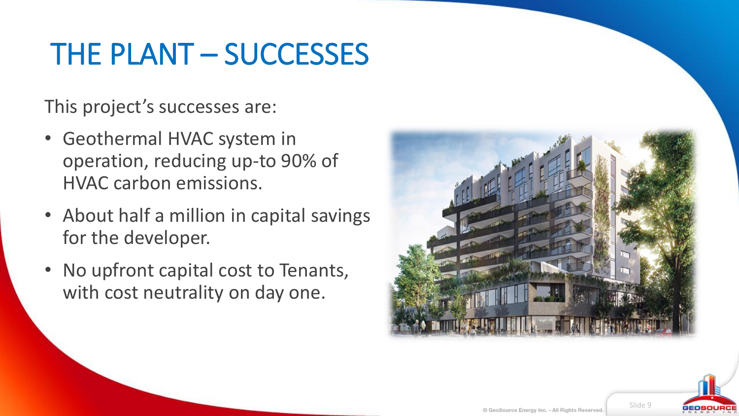## THE PLANT – SUCCESSES

This project's successes are:

- Geothermal HVAC system in operation, reducing up-to 90% of HVAC carbon emissions.
- About half a million in capital savings for the developer.
- No upfront capital cost to Tenants, with cost neutrality on day one.



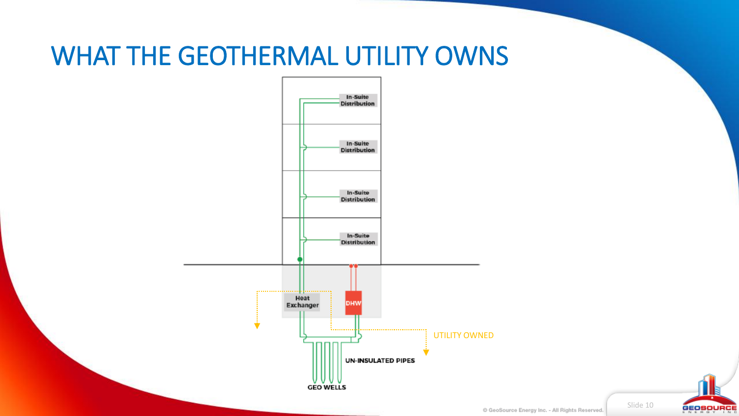#### WHAT THE GEOTHERMAL UTILITY OWNS



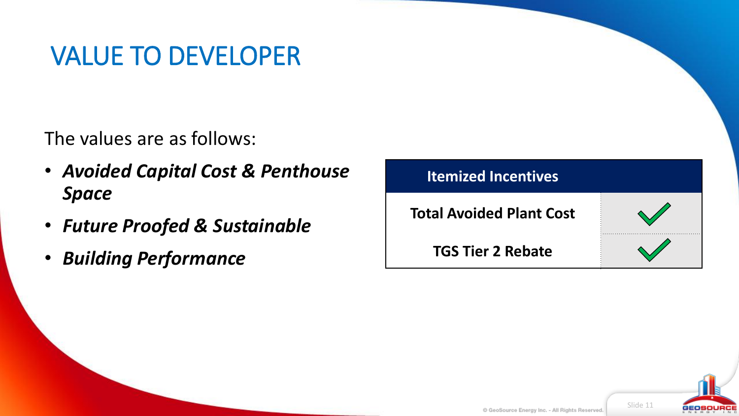#### VALUE TO DEVELOPER

The values are as follows:

- *Avoided Capital Cost & Penthouse Space*
- *Future Proofed & Sustainable*
- *Building Performance*

| <b>Itemized Incentives</b>      |  |  |
|---------------------------------|--|--|
| <b>Total Avoided Plant Cost</b> |  |  |
| <b>TGS Tier 2 Rebate</b>        |  |  |

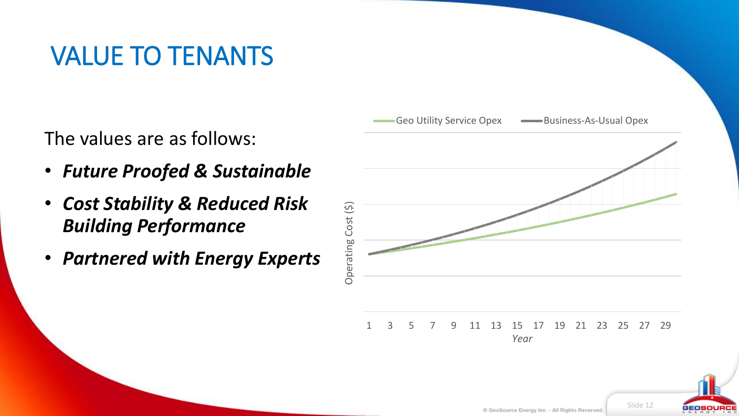#### VALUE TO TENANTS

The values are as follows:

- *Future Proofed & Sustainable*
- *Cost Stability & Reduced Risk Building Performance*
- *Partnered with Energy Experts*



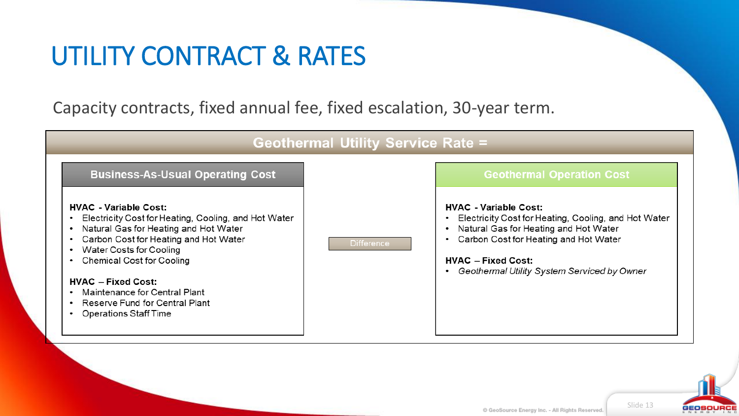#### UTILITY CONTRACT & RATES

Capacity contracts, fixed annual fee, fixed escalation, 30-year term.



# GEOSOURCI

Slide 13

#### C GeoSource Energy Inc. - All Rights Reserved.